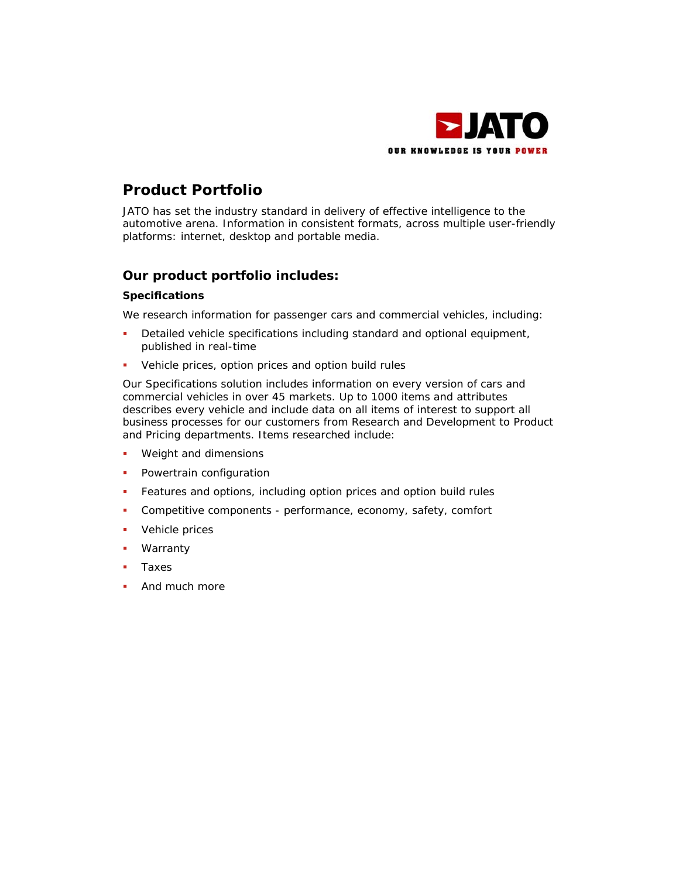

# **Product Portfolio**

JATO has set the industry standard in delivery of effective intelligence to the automotive arena. Information in consistent formats, across multiple user-friendly platforms: internet, desktop and portable media.

# **Our product portfolio includes:**

# **Specifications**

We research information for passenger cars and commercial vehicles, including:

- Detailed vehicle specifications including standard and optional equipment, published in real-time
- Vehicle prices, option prices and option build rules

Our Specifications solution includes information on every version of cars and commercial vehicles in over 45 markets. Up to 1000 items and attributes describes every vehicle and include data on all items of interest to support all business processes for our customers from Research and Development to Product and Pricing departments. Items researched include:

- **Weight and dimensions**
- **•** Powertrain configuration
- Features and options, including option prices and option build rules
- Competitive components performance, economy, safety, comfort
- **v** Vehicle prices
- Warranty
- **Taxes**
- And much more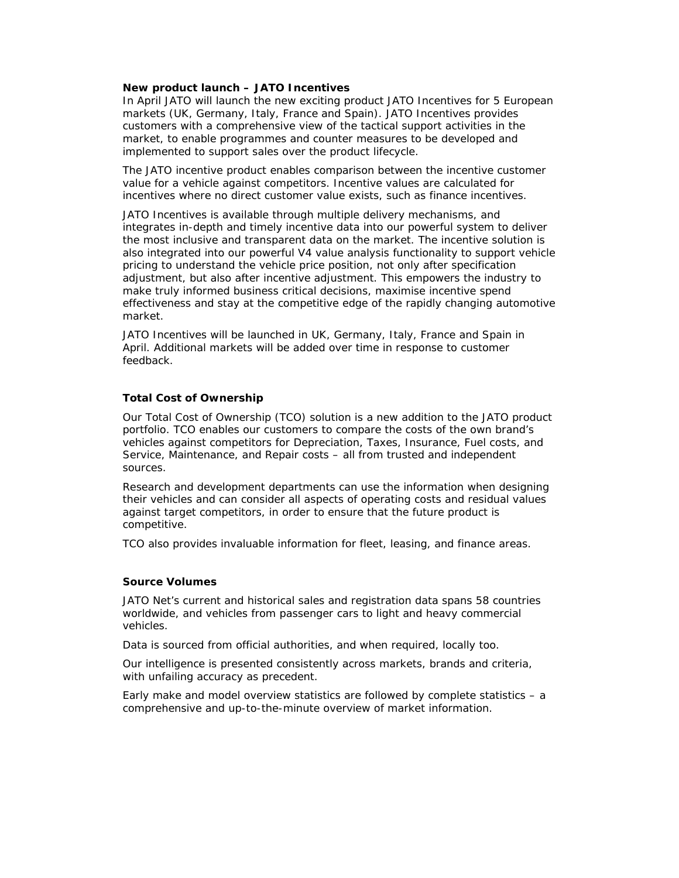#### **New product launch – JATO Incentives**

In April JATO will launch the new exciting product JATO Incentives for 5 European markets (UK, Germany, Italy, France and Spain). JATO Incentives provides customers with a comprehensive view of the tactical support activities in the market, to enable programmes and counter measures to be developed and implemented to support sales over the product lifecycle.

The JATO incentive product enables comparison between the incentive customer value for a vehicle against competitors. Incentive values are calculated for incentives where no direct customer value exists, such as finance incentives.

JATO Incentives is available through multiple delivery mechanisms, and integrates in-depth and timely incentive data into our powerful system to deliver the most inclusive and transparent data on the market. The incentive solution is also integrated into our powerful V4 value analysis functionality to support vehicle pricing to understand the vehicle price position, not only after specification adjustment, but also after incentive adjustment. This empowers the industry to make truly informed business critical decisions, maximise incentive spend effectiveness and stay at the competitive edge of the rapidly changing automotive market.

JATO Incentives will be launched in UK, Germany, Italy, France and Spain in April. Additional markets will be added over time in response to customer feedback.

## **Total Cost of Ownership**

Our Total Cost of Ownership (TCO) solution is a new addition to the JATO product portfolio. TCO enables our customers to compare the costs of the own brand's vehicles against competitors for Depreciation, Taxes, Insurance, Fuel costs, and Service, Maintenance, and Repair costs – all from trusted and independent sources.

Research and development departments can use the information when designing their vehicles and can consider all aspects of operating costs and residual values against target competitors, in order to ensure that the future product is competitive.

TCO also provides invaluable information for fleet, leasing, and finance areas.

## **Source Volumes**

JATO Net's current and historical sales and registration data spans 58 countries worldwide, and vehicles from passenger cars to light and heavy commercial vehicles.

Data is sourced from official authorities, and when required, locally too.

Our intelligence is presented consistently across markets, brands and criteria, with unfailing accuracy as precedent.

Early make and model overview statistics are followed by complete statistics – a comprehensive and up-to-the-minute overview of market information.